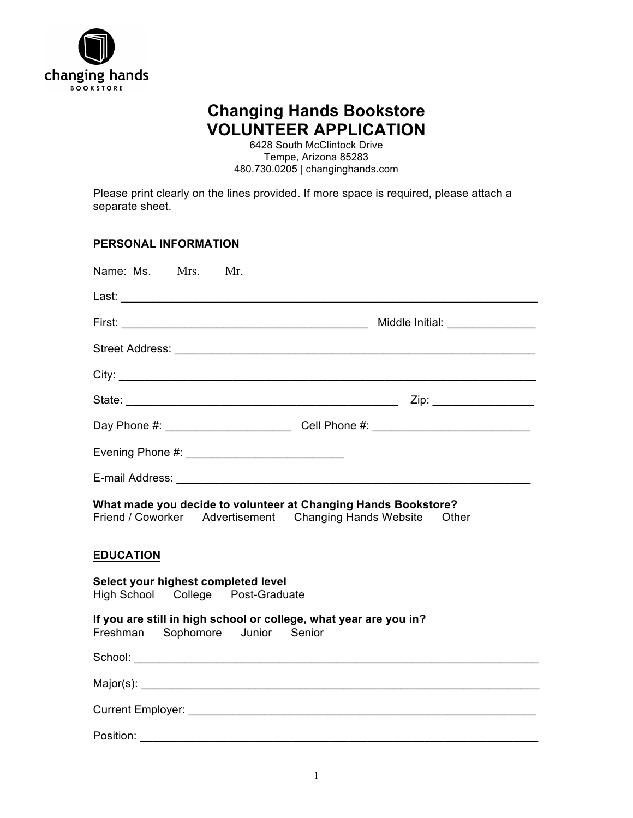

# **Changing Hands Bookstore VOLUNTEER APPLICATION**

6428 South McClintock Drive Tempe, Arizona 85283 480.730.0205 | changinghands.com

Please print clearly on the lines provided. If more space is required, please attach a separate sheet.

### **PERSONAL INFORMATION**

| Name: Ms. Mrs. Mr.                                                                                                                |                                                                                  |  |
|-----------------------------------------------------------------------------------------------------------------------------------|----------------------------------------------------------------------------------|--|
|                                                                                                                                   |                                                                                  |  |
|                                                                                                                                   |                                                                                  |  |
|                                                                                                                                   |                                                                                  |  |
|                                                                                                                                   |                                                                                  |  |
|                                                                                                                                   |                                                                                  |  |
|                                                                                                                                   | Day Phone #: __________________________________Cell Phone #: ___________________ |  |
|                                                                                                                                   |                                                                                  |  |
|                                                                                                                                   |                                                                                  |  |
| What made you decide to volunteer at Changing Hands Bookstore?<br>Friend / Coworker Advertisement Changing Hands Website<br>Other |                                                                                  |  |
| <b>EDUCATION</b>                                                                                                                  |                                                                                  |  |
| Select your highest completed level<br>High School College Post-Graduate                                                          |                                                                                  |  |
| If you are still in high school or college, what year are you in?<br>Freshman Sophomore Junior Senior                             |                                                                                  |  |
|                                                                                                                                   |                                                                                  |  |
|                                                                                                                                   |                                                                                  |  |
|                                                                                                                                   |                                                                                  |  |
| Position:                                                                                                                         |                                                                                  |  |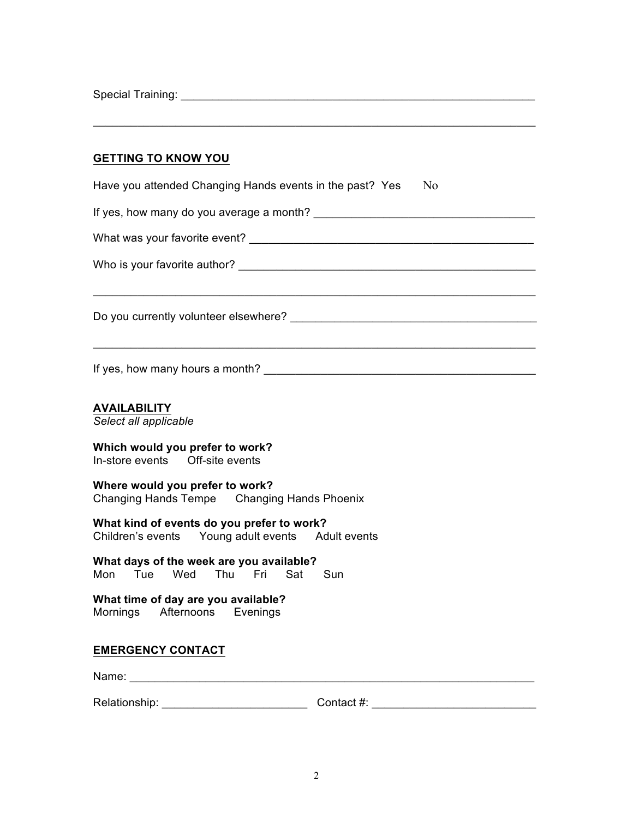Special Training: \_\_\_\_\_\_\_\_\_\_\_\_\_\_\_\_\_\_\_\_\_\_\_\_\_\_\_\_\_\_\_\_\_\_\_\_\_\_\_\_\_\_\_\_\_\_\_\_\_\_\_\_\_\_\_\_

#### **GETTING TO KNOW YOU**

| N <sub>0</sub><br>Have you attended Changing Hands events in the past? Yes                        |
|---------------------------------------------------------------------------------------------------|
|                                                                                                   |
|                                                                                                   |
|                                                                                                   |
|                                                                                                   |
| If yes, how many hours a month?                                                                   |
| <b>AVAILABILITY</b><br>Select all applicable                                                      |
| Which would you prefer to work?<br>In-store events  Off-site events                               |
| Where would you prefer to work?<br>Changing Hands Tempe Changing Hands Phoenix                    |
| What kind of events do you prefer to work?<br>Children's events  Young adult events  Adult events |
| What days of the week are you available?<br>Wed Thu Fri Sat<br>Mon<br>Tue<br>Sun                  |
| What time of day are you available?<br>Mornings Afternoons Evenings                               |
| <b>EMERGENCY CONTACT</b>                                                                          |
| Name:                                                                                             |

\_\_\_\_\_\_\_\_\_\_\_\_\_\_\_\_\_\_\_\_\_\_\_\_\_\_\_\_\_\_\_\_\_\_\_\_\_\_\_\_\_\_\_\_\_\_\_\_\_\_\_\_\_\_\_\_\_\_\_\_\_\_\_\_\_\_\_\_\_\_

Relationship: \_\_\_\_\_\_\_\_\_\_\_\_\_\_\_\_\_\_\_\_\_\_\_ Contact #: \_\_\_\_\_\_\_\_\_\_\_\_\_\_\_\_\_\_\_\_\_\_\_\_\_\_